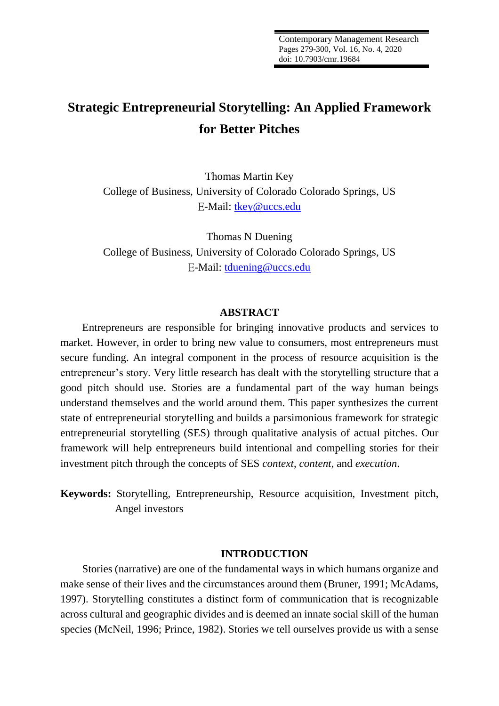# **Strategic Entrepreneurial Storytelling: An Applied Framework for Better Pitches**

Thomas Martin Key College of Business, University of Colorado Colorado Springs, US E-Mail: [tkey@uccs.edu](mailto:tkey@uccs.edu)

Thomas N Duening College of Business, University of Colorado Colorado Springs, US E-Mail: [tduening@uccs.edu](mailto:tduening@uccs.edu)

## **ABSTRACT**

Entrepreneurs are responsible for bringing innovative products and services to market. However, in order to bring new value to consumers, most entrepreneurs must secure funding. An integral component in the process of resource acquisition is the entrepreneur's story. Very little research has dealt with the storytelling structure that a good pitch should use. Stories are a fundamental part of the way human beings understand themselves and the world around them. This paper synthesizes the current state of entrepreneurial storytelling and builds a parsimonious framework for strategic entrepreneurial storytelling (SES) through qualitative analysis of actual pitches. Our framework will help entrepreneurs build intentional and compelling stories for their investment pitch through the concepts of SES *context*, *content*, and *execution*.

**Keywords:** Storytelling, Entrepreneurship, Resource acquisition, Investment pitch, Angel investors

#### **INTRODUCTION**

Stories (narrative) are one of the fundamental ways in which humans organize and make sense of their lives and the circumstances around them (Bruner, 1991; McAdams, 1997). Storytelling constitutes a distinct form of communication that is recognizable across cultural and geographic divides and is deemed an innate social skill of the human species (McNeil, 1996; Prince, 1982). Stories we tell ourselves provide us with a sense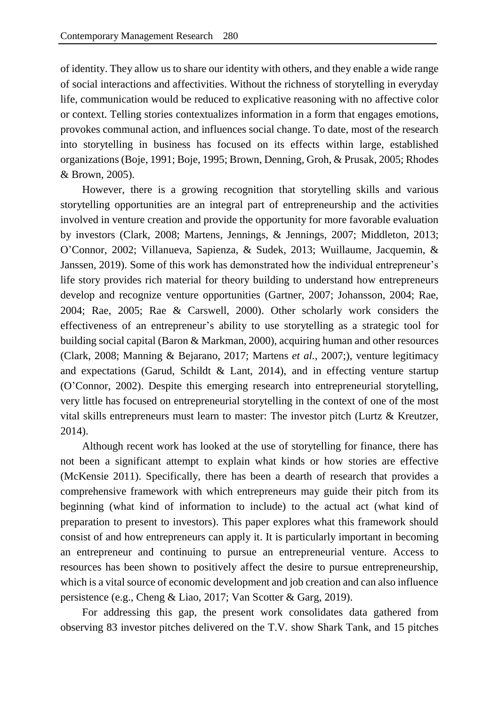of identity. They allow us to share our identity with others, and they enable a wide range of social interactions and affectivities. Without the richness of storytelling in everyday life, communication would be reduced to explicative reasoning with no affective color or context. Telling stories contextualizes information in a form that engages emotions, provokes communal action, and influences social change. To date, most of the research into storytelling in business has focused on its effects within large, established organizations (Boje, 1991; Boje, 1995; Brown, Denning, Groh, & Prusak, 2005; Rhodes & Brown, 2005).

However, there is a growing recognition that storytelling skills and various storytelling opportunities are an integral part of entrepreneurship and the activities involved in venture creation and provide the opportunity for more favorable evaluation by investors (Clark, 2008; Martens, Jennings, & Jennings*,* 2007; Middleton, 2013; O'Connor, 2002; Villanueva, Sapienza, & Sudek, 2013; Wuillaume, Jacquemin, & Janssen, 2019). Some of this work has demonstrated how the individual entrepreneur's life story provides rich material for theory building to understand how entrepreneurs develop and recognize venture opportunities (Gartner, 2007; Johansson, 2004; Rae, 2004; Rae, 2005; Rae & Carswell, 2000). Other scholarly work considers the effectiveness of an entrepreneur's ability to use storytelling as a strategic tool for building social capital (Baron & Markman, 2000), acquiring human and other resources (Clark, 2008; Manning & Bejarano, 2017; Martens *et al.*, 2007;), venture legitimacy and expectations (Garud, Schildt & Lant, 2014), and in effecting venture startup (O'Connor, 2002). Despite this emerging research into entrepreneurial storytelling, very little has focused on entrepreneurial storytelling in the context of one of the most vital skills entrepreneurs must learn to master: The investor pitch (Lurtz & Kreutzer, 2014).

Although recent work has looked at the use of storytelling for finance, there has not been a significant attempt to explain what kinds or how stories are effective (McKensie 2011). Specifically, there has been a dearth of research that provides a comprehensive framework with which entrepreneurs may guide their pitch from its beginning (what kind of information to include) to the actual act (what kind of preparation to present to investors). This paper explores what this framework should consist of and how entrepreneurs can apply it. It is particularly important in becoming an entrepreneur and continuing to pursue an entrepreneurial venture. Access to resources has been shown to positively affect the desire to pursue entrepreneurship, which is a vital source of economic development and job creation and can also influence persistence (e.g., Cheng & Liao, 2017; Van Scotter & Garg, 2019).

For addressing this gap, the present work consolidates data gathered from observing 83 investor pitches delivered on the T.V. show Shark Tank, and 15 pitches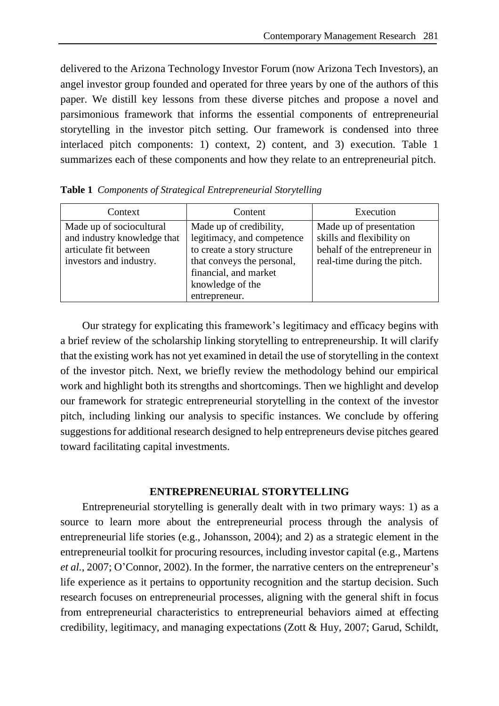delivered to the Arizona Technology Investor Forum (now Arizona Tech Investors), an angel investor group founded and operated for three years by one of the authors of this paper. We distill key lessons from these diverse pitches and propose a novel and parsimonious framework that informs the essential components of entrepreneurial storytelling in the investor pitch setting. Our framework is condensed into three interlaced pitch components: 1) context, 2) content, and 3) execution. Table 1 summarizes each of these components and how they relate to an entrepreneurial pitch.

| Context                                                                                                      | Content                                                                                                                                                                          | Execution                                                                                                            |  |
|--------------------------------------------------------------------------------------------------------------|----------------------------------------------------------------------------------------------------------------------------------------------------------------------------------|----------------------------------------------------------------------------------------------------------------------|--|
| Made up of sociocultural<br>and industry knowledge that<br>articulate fit between<br>investors and industry. | Made up of credibility,<br>legitimacy, and competence<br>to create a story structure<br>that conveys the personal,<br>financial, and market<br>knowledge of the<br>entrepreneur. | Made up of presentation<br>skills and flexibility on<br>behalf of the entrepreneur in<br>real-time during the pitch. |  |

**Table 1** *Components of Strategical Entrepreneurial Storytelling*

Our strategy for explicating this framework's legitimacy and efficacy begins with a brief review of the scholarship linking storytelling to entrepreneurship. It will clarify that the existing work has not yet examined in detail the use of storytelling in the context of the investor pitch. Next, we briefly review the methodology behind our empirical work and highlight both its strengths and shortcomings. Then we highlight and develop our framework for strategic entrepreneurial storytelling in the context of the investor pitch, including linking our analysis to specific instances. We conclude by offering suggestions for additional research designed to help entrepreneurs devise pitches geared toward facilitating capital investments.

#### **ENTREPRENEURIAL STORYTELLING**

Entrepreneurial storytelling is generally dealt with in two primary ways: 1) as a source to learn more about the entrepreneurial process through the analysis of entrepreneurial life stories (e.g., Johansson, 2004); and 2) as a strategic element in the entrepreneurial toolkit for procuring resources, including investor capital (e.g., Martens *et al.*, 2007; O'Connor, 2002). In the former, the narrative centers on the entrepreneur's life experience as it pertains to opportunity recognition and the startup decision. Such research focuses on entrepreneurial processes, aligning with the general shift in focus from entrepreneurial characteristics to entrepreneurial behaviors aimed at effecting credibility, legitimacy, and managing expectations (Zott & Huy, 2007; Garud, Schildt,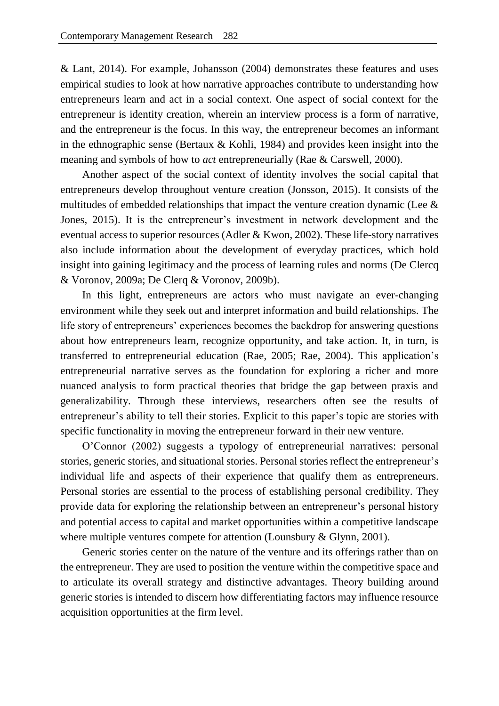& Lant, 2014). For example, Johansson (2004) demonstrates these features and uses empirical studies to look at how narrative approaches contribute to understanding how entrepreneurs learn and act in a social context. One aspect of social context for the entrepreneur is identity creation, wherein an interview process is a form of narrative, and the entrepreneur is the focus. In this way, the entrepreneur becomes an informant in the ethnographic sense (Bertaux & Kohli, 1984) and provides keen insight into the meaning and symbols of how to *act* entrepreneurially (Rae & Carswell, 2000).

Another aspect of the social context of identity involves the social capital that entrepreneurs develop throughout venture creation (Jonsson, 2015). It consists of the multitudes of embedded relationships that impact the venture creation dynamic (Lee & Jones, 2015). It is the entrepreneur's investment in network development and the eventual access to superior resources (Adler & Kwon, 2002). These life-story narratives also include information about the development of everyday practices, which hold insight into gaining legitimacy and the process of learning rules and norms (De Clercq & Voronov, 2009a; De Clerq & Voronov, 2009b).

In this light, entrepreneurs are actors who must navigate an ever-changing environment while they seek out and interpret information and build relationships. The life story of entrepreneurs' experiences becomes the backdrop for answering questions about how entrepreneurs learn, recognize opportunity, and take action. It, in turn, is transferred to entrepreneurial education (Rae, 2005; Rae, 2004). This application's entrepreneurial narrative serves as the foundation for exploring a richer and more nuanced analysis to form practical theories that bridge the gap between praxis and generalizability. Through these interviews, researchers often see the results of entrepreneur's ability to tell their stories. Explicit to this paper's topic are stories with specific functionality in moving the entrepreneur forward in their new venture.

O'Connor (2002) suggests a typology of entrepreneurial narratives: personal stories, generic stories, and situational stories. Personal stories reflect the entrepreneur's individual life and aspects of their experience that qualify them as entrepreneurs. Personal stories are essential to the process of establishing personal credibility. They provide data for exploring the relationship between an entrepreneur's personal history and potential access to capital and market opportunities within a competitive landscape where multiple ventures compete for attention (Lounsbury & Glynn, 2001).

Generic stories center on the nature of the venture and its offerings rather than on the entrepreneur. They are used to position the venture within the competitive space and to articulate its overall strategy and distinctive advantages. Theory building around generic stories is intended to discern how differentiating factors may influence resource acquisition opportunities at the firm level.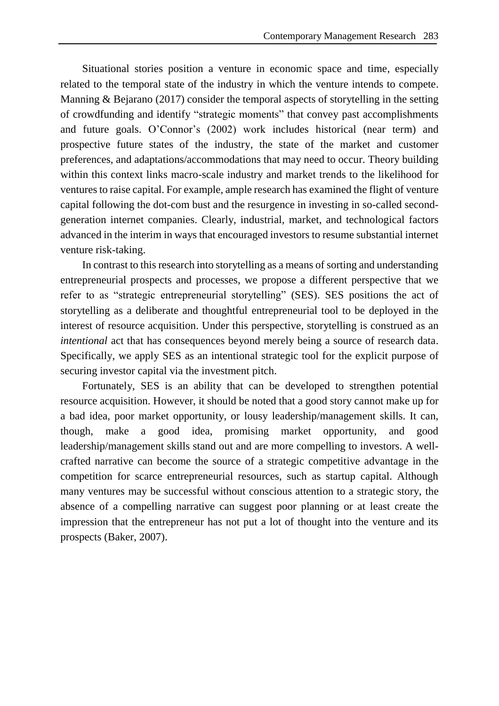Situational stories position a venture in economic space and time, especially related to the temporal state of the industry in which the venture intends to compete. Manning & Bejarano (2017) consider the temporal aspects of storytelling in the setting of crowdfunding and identify "strategic moments" that convey past accomplishments and future goals. O'Connor's (2002) work includes historical (near term) and prospective future states of the industry, the state of the market and customer preferences, and adaptations/accommodations that may need to occur. Theory building within this context links macro-scale industry and market trends to the likelihood for ventures to raise capital. For example, ample research has examined the flight of venture capital following the dot-com bust and the resurgence in investing in so-called secondgeneration internet companies. Clearly, industrial, market, and technological factors advanced in the interim in ways that encouraged investors to resume substantial internet venture risk-taking.

In contrast to this research into storytelling as a means of sorting and understanding entrepreneurial prospects and processes, we propose a different perspective that we refer to as "strategic entrepreneurial storytelling" (SES). SES positions the act of storytelling as a deliberate and thoughtful entrepreneurial tool to be deployed in the interest of resource acquisition. Under this perspective, storytelling is construed as an *intentional* act that has consequences beyond merely being a source of research data. Specifically, we apply SES as an intentional strategic tool for the explicit purpose of securing investor capital via the investment pitch.

Fortunately, SES is an ability that can be developed to strengthen potential resource acquisition. However, it should be noted that a good story cannot make up for a bad idea, poor market opportunity, or lousy leadership/management skills. It can, though, make a good idea, promising market opportunity, and good leadership/management skills stand out and are more compelling to investors. A wellcrafted narrative can become the source of a strategic competitive advantage in the competition for scarce entrepreneurial resources, such as startup capital. Although many ventures may be successful without conscious attention to a strategic story, the absence of a compelling narrative can suggest poor planning or at least create the impression that the entrepreneur has not put a lot of thought into the venture and its prospects (Baker, 2007).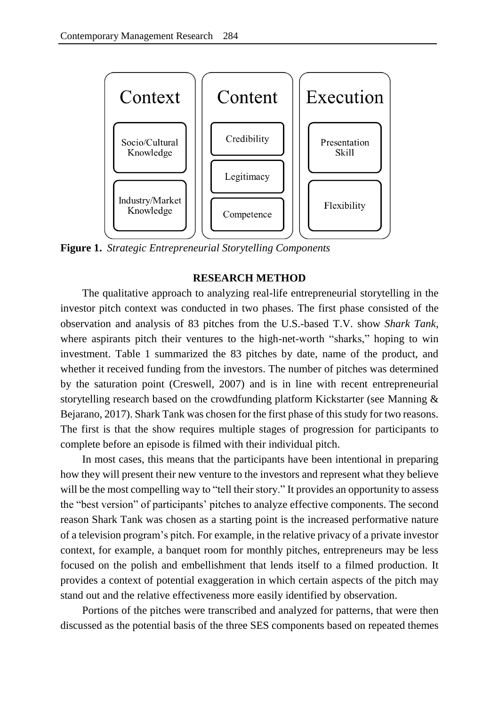

**Figure 1.** *Strategic Entrepreneurial Storytelling Components*

#### **RESEARCH METHOD**

The qualitative approach to analyzing real-life entrepreneurial storytelling in the investor pitch context was conducted in two phases. The first phase consisted of the observation and analysis of 83 pitches from the U.S.-based T.V. show *Shark Tank*, where aspirants pitch their ventures to the high-net-worth "sharks," hoping to win investment. Table 1 summarized the 83 pitches by date, name of the product, and whether it received funding from the investors. The number of pitches was determined by the saturation point (Creswell, 2007) and is in line with recent entrepreneurial storytelling research based on the crowdfunding platform Kickstarter (see Manning & Bejarano, 2017). Shark Tank was chosen for the first phase of this study for two reasons. The first is that the show requires multiple stages of progression for participants to complete before an episode is filmed with their individual pitch.

In most cases, this means that the participants have been intentional in preparing how they will present their new venture to the investors and represent what they believe will be the most compelling way to "tell their story." It provides an opportunity to assess the "best version" of participants' pitches to analyze effective components. The second reason Shark Tank was chosen as a starting point is the increased performative nature of a television program's pitch. For example, in the relative privacy of a private investor context, for example, a banquet room for monthly pitches, entrepreneurs may be less focused on the polish and embellishment that lends itself to a filmed production. It provides a context of potential exaggeration in which certain aspects of the pitch may stand out and the relative effectiveness more easily identified by observation.

Portions of the pitches were transcribed and analyzed for patterns, that were then discussed as the potential basis of the three SES components based on repeated themes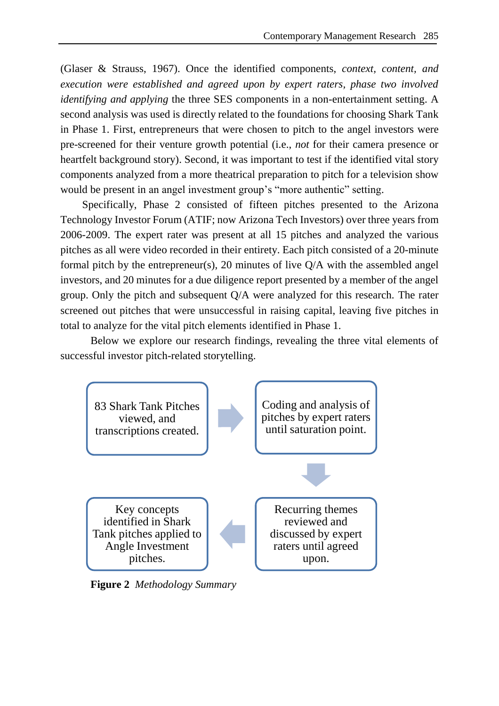(Glaser & Strauss, 1967). Once the identified components, *context, content, and execution were established and agreed upon by expert raters, phase two involved identifying and applying* the three SES components in a non-entertainment setting. A second analysis was used is directly related to the foundations for choosing Shark Tank in Phase 1. First, entrepreneurs that were chosen to pitch to the angel investors were pre-screened for their venture growth potential (i.e., *not* for their camera presence or heartfelt background story). Second, it was important to test if the identified vital story components analyzed from a more theatrical preparation to pitch for a television show would be present in an angel investment group's "more authentic" setting.

Specifically, Phase 2 consisted of fifteen pitches presented to the Arizona Technology Investor Forum (ATIF; now Arizona Tech Investors) over three years from 2006-2009. The expert rater was present at all 15 pitches and analyzed the various pitches as all were video recorded in their entirety. Each pitch consisted of a 20-minute formal pitch by the entrepreneur(s), 20 minutes of live Q/A with the assembled angel investors, and 20 minutes for a due diligence report presented by a member of the angel group. Only the pitch and subsequent Q/A were analyzed for this research. The rater screened out pitches that were unsuccessful in raising capital, leaving five pitches in total to analyze for the vital pitch elements identified in Phase 1.

Below we explore our research findings, revealing the three vital elements of successful investor pitch-related storytelling.



**Figure 2** *Methodology Summary*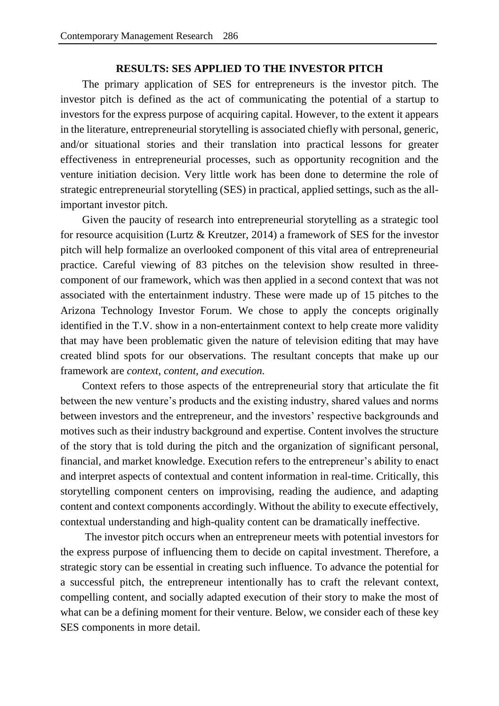## **RESULTS: SES APPLIED TO THE INVESTOR PITCH**

The primary application of SES for entrepreneurs is the investor pitch. The investor pitch is defined as the act of communicating the potential of a startup to investors for the express purpose of acquiring capital. However, to the extent it appears in the literature, entrepreneurial storytelling is associated chiefly with personal, generic, and/or situational stories and their translation into practical lessons for greater effectiveness in entrepreneurial processes, such as opportunity recognition and the venture initiation decision. Very little work has been done to determine the role of strategic entrepreneurial storytelling (SES) in practical, applied settings, such as the allimportant investor pitch.

Given the paucity of research into entrepreneurial storytelling as a strategic tool for resource acquisition (Lurtz & Kreutzer, 2014) a framework of SES for the investor pitch will help formalize an overlooked component of this vital area of entrepreneurial practice. Careful viewing of 83 pitches on the television show resulted in threecomponent of our framework, which was then applied in a second context that was not associated with the entertainment industry. These were made up of 15 pitches to the Arizona Technology Investor Forum. We chose to apply the concepts originally identified in the T.V. show in a non-entertainment context to help create more validity that may have been problematic given the nature of television editing that may have created blind spots for our observations. The resultant concepts that make up our framework are *context, content, and execution.* 

Context refers to those aspects of the entrepreneurial story that articulate the fit between the new venture's products and the existing industry, shared values and norms between investors and the entrepreneur, and the investors' respective backgrounds and motives such as their industry background and expertise. Content involves the structure of the story that is told during the pitch and the organization of significant personal, financial, and market knowledge. Execution refers to the entrepreneur's ability to enact and interpret aspects of contextual and content information in real-time. Critically, this storytelling component centers on improvising, reading the audience, and adapting content and context components accordingly. Without the ability to execute effectively, contextual understanding and high-quality content can be dramatically ineffective.

The investor pitch occurs when an entrepreneur meets with potential investors for the express purpose of influencing them to decide on capital investment. Therefore, a strategic story can be essential in creating such influence. To advance the potential for a successful pitch, the entrepreneur intentionally has to craft the relevant context, compelling content, and socially adapted execution of their story to make the most of what can be a defining moment for their venture. Below, we consider each of these key SES components in more detail.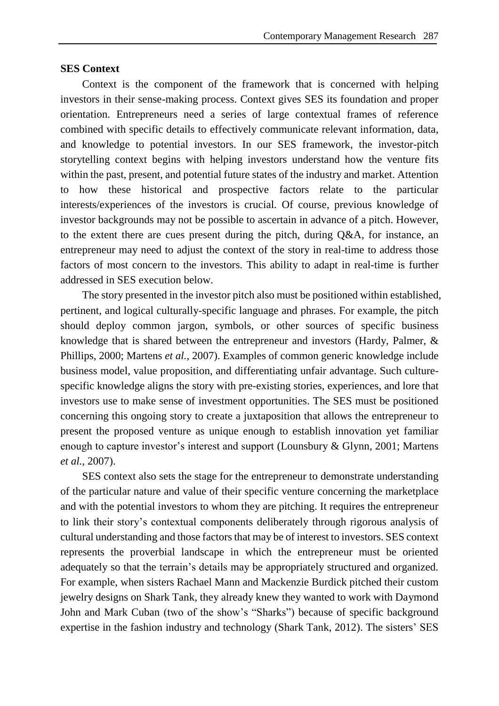### **SES Context**

Context is the component of the framework that is concerned with helping investors in their sense-making process. Context gives SES its foundation and proper orientation. Entrepreneurs need a series of large contextual frames of reference combined with specific details to effectively communicate relevant information, data, and knowledge to potential investors. In our SES framework, the investor-pitch storytelling context begins with helping investors understand how the venture fits within the past, present, and potential future states of the industry and market. Attention to how these historical and prospective factors relate to the particular interests/experiences of the investors is crucial. Of course, previous knowledge of investor backgrounds may not be possible to ascertain in advance of a pitch. However, to the extent there are cues present during the pitch, during Q&A, for instance, an entrepreneur may need to adjust the context of the story in real-time to address those factors of most concern to the investors. This ability to adapt in real-time is further addressed in SES execution below.

The story presented in the investor pitch also must be positioned within established, pertinent, and logical culturally-specific language and phrases. For example, the pitch should deploy common jargon, symbols, or other sources of specific business knowledge that is shared between the entrepreneur and investors (Hardy, Palmer, & Phillips, 2000; Martens *et al.*, 2007). Examples of common generic knowledge include business model, value proposition, and differentiating unfair advantage. Such culturespecific knowledge aligns the story with pre-existing stories, experiences, and lore that investors use to make sense of investment opportunities. The SES must be positioned concerning this ongoing story to create a juxtaposition that allows the entrepreneur to present the proposed venture as unique enough to establish innovation yet familiar enough to capture investor's interest and support (Lounsbury & Glynn, 2001; Martens *et al.*, 2007).

SES context also sets the stage for the entrepreneur to demonstrate understanding of the particular nature and value of their specific venture concerning the marketplace and with the potential investors to whom they are pitching. It requires the entrepreneur to link their story's contextual components deliberately through rigorous analysis of cultural understanding and those factors that may be of interest to investors. SES context represents the proverbial landscape in which the entrepreneur must be oriented adequately so that the terrain's details may be appropriately structured and organized. For example, when sisters Rachael Mann and Mackenzie Burdick pitched their custom jewelry designs on Shark Tank, they already knew they wanted to work with Daymond John and Mark Cuban (two of the show's "Sharks") because of specific background expertise in the fashion industry and technology (Shark Tank, 2012). The sisters' SES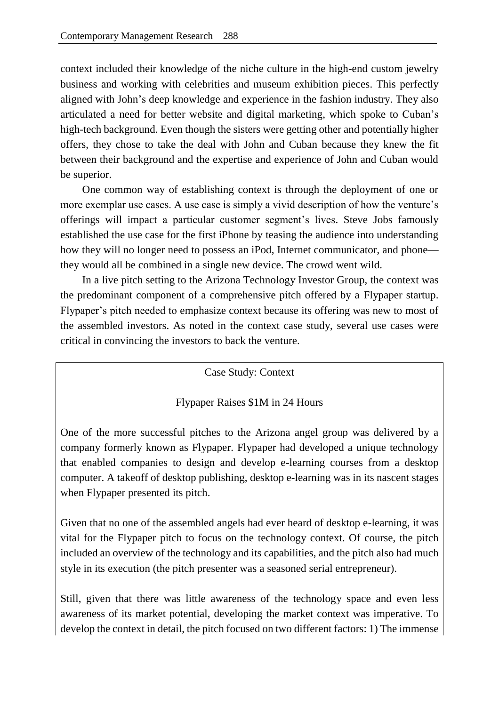context included their knowledge of the niche culture in the high-end custom jewelry business and working with celebrities and museum exhibition pieces. This perfectly aligned with John's deep knowledge and experience in the fashion industry. They also articulated a need for better website and digital marketing, which spoke to Cuban's high-tech background. Even though the sisters were getting other and potentially higher offers, they chose to take the deal with John and Cuban because they knew the fit between their background and the expertise and experience of John and Cuban would be superior.

One common way of establishing context is through the deployment of one or more exemplar use cases. A use case is simply a vivid description of how the venture's offerings will impact a particular customer segment's lives. Steve Jobs famously established the use case for the first iPhone by teasing the audience into understanding how they will no longer need to possess an iPod, Internet communicator, and phone they would all be combined in a single new device. The crowd went wild.

In a live pitch setting to the Arizona Technology Investor Group, the context was the predominant component of a comprehensive pitch offered by a Flypaper startup. Flypaper's pitch needed to emphasize context because its offering was new to most of the assembled investors. As noted in the context case study, several use cases were critical in convincing the investors to back the venture.

Case Study: Context

## Flypaper Raises \$1M in 24 Hours

One of the more successful pitches to the Arizona angel group was delivered by a company formerly known as Flypaper. Flypaper had developed a unique technology that enabled companies to design and develop e-learning courses from a desktop computer. A takeoff of desktop publishing, desktop e-learning was in its nascent stages when Flypaper presented its pitch.

Given that no one of the assembled angels had ever heard of desktop e-learning, it was vital for the Flypaper pitch to focus on the technology context. Of course, the pitch included an overview of the technology and its capabilities, and the pitch also had much style in its execution (the pitch presenter was a seasoned serial entrepreneur).

Still, given that there was little awareness of the technology space and even less awareness of its market potential, developing the market context was imperative. To develop the context in detail, the pitch focused on two different factors: 1) The immense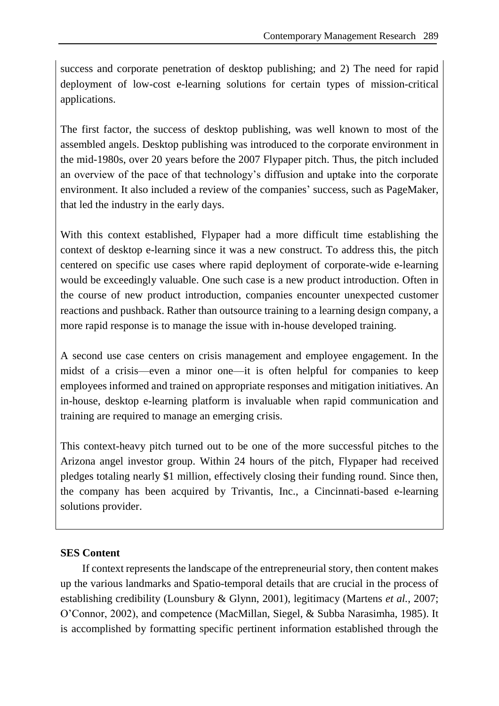success and corporate penetration of desktop publishing; and 2) The need for rapid deployment of low-cost e-learning solutions for certain types of mission-critical applications.

The first factor, the success of desktop publishing, was well known to most of the assembled angels. Desktop publishing was introduced to the corporate environment in the mid-1980s, over 20 years before the 2007 Flypaper pitch. Thus, the pitch included an overview of the pace of that technology's diffusion and uptake into the corporate environment. It also included a review of the companies' success, such as PageMaker, that led the industry in the early days.

With this context established, Flypaper had a more difficult time establishing the context of desktop e-learning since it was a new construct. To address this, the pitch centered on specific use cases where rapid deployment of corporate-wide e-learning would be exceedingly valuable. One such case is a new product introduction. Often in the course of new product introduction, companies encounter unexpected customer reactions and pushback. Rather than outsource training to a learning design company, a more rapid response is to manage the issue with in-house developed training.

A second use case centers on crisis management and employee engagement. In the midst of a crisis—even a minor one—it is often helpful for companies to keep employees informed and trained on appropriate responses and mitigation initiatives. An in-house, desktop e-learning platform is invaluable when rapid communication and training are required to manage an emerging crisis.

This context-heavy pitch turned out to be one of the more successful pitches to the Arizona angel investor group. Within 24 hours of the pitch, Flypaper had received pledges totaling nearly \$1 million, effectively closing their funding round. Since then, the company has been acquired by Trivantis, Inc., a Cincinnati-based e-learning solutions provider.

## **SES Content**

If context represents the landscape of the entrepreneurial story, then content makes up the various landmarks and Spatio-temporal details that are crucial in the process of establishing credibility (Lounsbury & Glynn, 2001), legitimacy (Martens *et al.*, 2007; O'Connor, 2002), and competence (MacMillan, Siegel, & Subba Narasimha, 1985). It is accomplished by formatting specific pertinent information established through the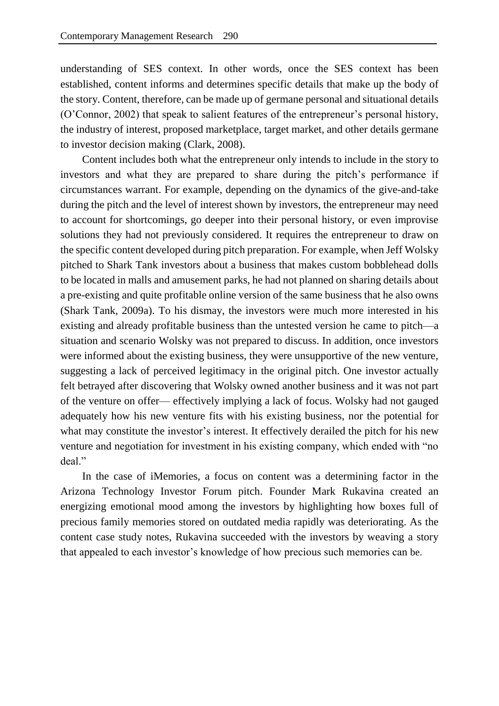understanding of SES context. In other words, once the SES context has been established, content informs and determines specific details that make up the body of the story. Content, therefore, can be made up of germane personal and situational details (O'Connor, 2002) that speak to salient features of the entrepreneur's personal history, the industry of interest, proposed marketplace, target market, and other details germane to investor decision making (Clark, 2008).

Content includes both what the entrepreneur only intends to include in the story to investors and what they are prepared to share during the pitch's performance if circumstances warrant. For example, depending on the dynamics of the give-and-take during the pitch and the level of interest shown by investors, the entrepreneur may need to account for shortcomings, go deeper into their personal history, or even improvise solutions they had not previously considered. It requires the entrepreneur to draw on the specific content developed during pitch preparation. For example, when Jeff Wolsky pitched to Shark Tank investors about a business that makes custom bobblehead dolls to be located in malls and amusement parks, he had not planned on sharing details about a pre-existing and quite profitable online version of the same business that he also owns (Shark Tank, 2009a). To his dismay, the investors were much more interested in his existing and already profitable business than the untested version he came to pitch—a situation and scenario Wolsky was not prepared to discuss. In addition, once investors were informed about the existing business, they were unsupportive of the new venture, suggesting a lack of perceived legitimacy in the original pitch. One investor actually felt betrayed after discovering that Wolsky owned another business and it was not part of the venture on offer— effectively implying a lack of focus. Wolsky had not gauged adequately how his new venture fits with his existing business, nor the potential for what may constitute the investor's interest. It effectively derailed the pitch for his new venture and negotiation for investment in his existing company, which ended with "no deal."

In the case of iMemories, a focus on content was a determining factor in the Arizona Technology Investor Forum pitch. Founder Mark Rukavina created an energizing emotional mood among the investors by highlighting how boxes full of precious family memories stored on outdated media rapidly was deteriorating. As the content case study notes, Rukavina succeeded with the investors by weaving a story that appealed to each investor's knowledge of how precious such memories can be.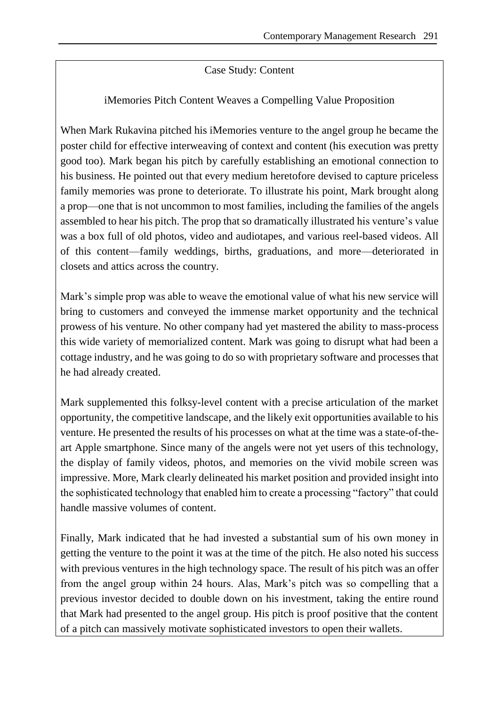## Case Study: Content

## iMemories Pitch Content Weaves a Compelling Value Proposition

When Mark Rukavina pitched his iMemories venture to the angel group he became the poster child for effective interweaving of context and content (his execution was pretty good too). Mark began his pitch by carefully establishing an emotional connection to his business. He pointed out that every medium heretofore devised to capture priceless family memories was prone to deteriorate. To illustrate his point, Mark brought along a prop—one that is not uncommon to most families, including the families of the angels assembled to hear his pitch. The prop that so dramatically illustrated his venture's value was a box full of old photos, video and audiotapes, and various reel-based videos. All of this content—family weddings, births, graduations, and more—deteriorated in closets and attics across the country.

Mark's simple prop was able to weave the emotional value of what his new service will bring to customers and conveyed the immense market opportunity and the technical prowess of his venture. No other company had yet mastered the ability to mass-process this wide variety of memorialized content. Mark was going to disrupt what had been a cottage industry, and he was going to do so with proprietary software and processes that he had already created.

Mark supplemented this folksy-level content with a precise articulation of the market opportunity, the competitive landscape, and the likely exit opportunities available to his venture. He presented the results of his processes on what at the time was a state-of-theart Apple smartphone. Since many of the angels were not yet users of this technology, the display of family videos, photos, and memories on the vivid mobile screen was impressive. More, Mark clearly delineated his market position and provided insight into the sophisticated technology that enabled him to create a processing "factory" that could handle massive volumes of content.

Finally, Mark indicated that he had invested a substantial sum of his own money in getting the venture to the point it was at the time of the pitch. He also noted his success with previous ventures in the high technology space. The result of his pitch was an offer from the angel group within 24 hours. Alas, Mark's pitch was so compelling that a previous investor decided to double down on his investment, taking the entire round that Mark had presented to the angel group. His pitch is proof positive that the content of a pitch can massively motivate sophisticated investors to open their wallets.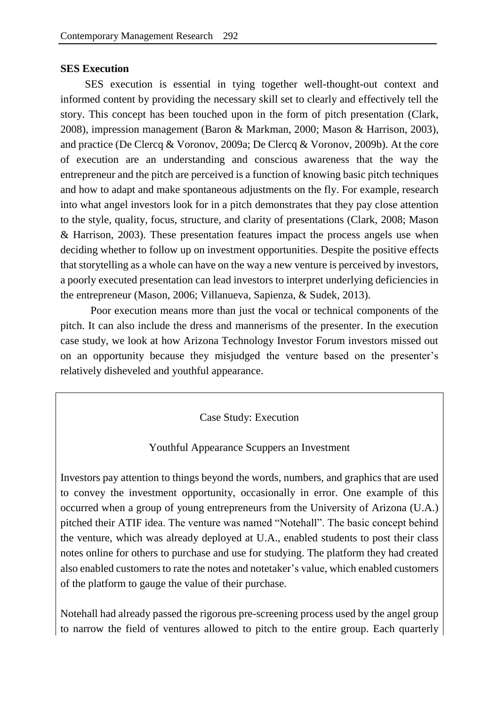## **SES Execution**

SES execution is essential in tying together well-thought-out context and informed content by providing the necessary skill set to clearly and effectively tell the story. This concept has been touched upon in the form of pitch presentation (Clark, 2008), impression management (Baron & Markman, 2000; Mason & Harrison, 2003), and practice (De Clercq & Voronov, 2009a; De Clercq & Voronov, 2009b). At the core of execution are an understanding and conscious awareness that the way the entrepreneur and the pitch are perceived is a function of knowing basic pitch techniques and how to adapt and make spontaneous adjustments on the fly. For example, research into what angel investors look for in a pitch demonstrates that they pay close attention to the style, quality, focus, structure, and clarity of presentations (Clark, 2008; Mason & Harrison, 2003). These presentation features impact the process angels use when deciding whether to follow up on investment opportunities. Despite the positive effects that storytelling as a whole can have on the way a new venture is perceived by investors, a poorly executed presentation can lead investors to interpret underlying deficiencies in the entrepreneur (Mason, 2006; Villanueva, Sapienza, & Sudek, 2013).

Poor execution means more than just the vocal or technical components of the pitch. It can also include the dress and mannerisms of the presenter. In the execution case study, we look at how Arizona Technology Investor Forum investors missed out on an opportunity because they misjudged the venture based on the presenter's relatively disheveled and youthful appearance.

## Case Study: Execution

## Youthful Appearance Scuppers an Investment

Investors pay attention to things beyond the words, numbers, and graphics that are used to convey the investment opportunity, occasionally in error. One example of this occurred when a group of young entrepreneurs from the University of Arizona (U.A.) pitched their ATIF idea. The venture was named "Notehall". The basic concept behind the venture, which was already deployed at U.A., enabled students to post their class notes online for others to purchase and use for studying. The platform they had created also enabled customers to rate the notes and notetaker's value, which enabled customers of the platform to gauge the value of their purchase.

Notehall had already passed the rigorous pre-screening process used by the angel group to narrow the field of ventures allowed to pitch to the entire group. Each quarterly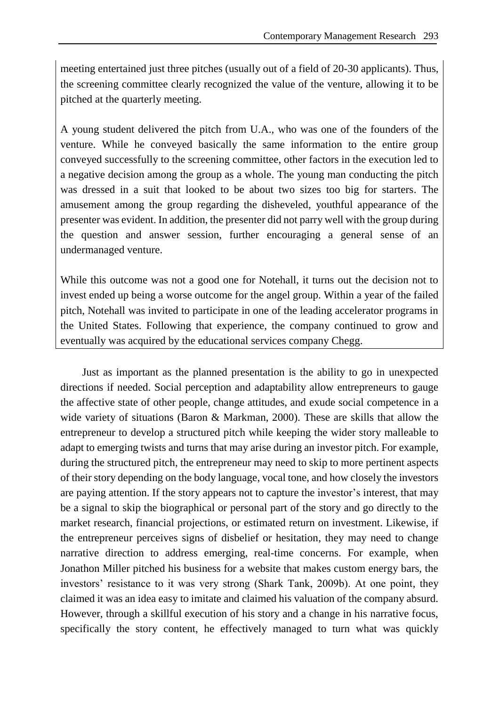meeting entertained just three pitches (usually out of a field of 20-30 applicants). Thus, the screening committee clearly recognized the value of the venture, allowing it to be pitched at the quarterly meeting.

A young student delivered the pitch from U.A., who was one of the founders of the venture. While he conveyed basically the same information to the entire group conveyed successfully to the screening committee, other factors in the execution led to a negative decision among the group as a whole. The young man conducting the pitch was dressed in a suit that looked to be about two sizes too big for starters. The amusement among the group regarding the disheveled, youthful appearance of the presenter was evident. In addition, the presenter did not parry well with the group during the question and answer session, further encouraging a general sense of an undermanaged venture.

While this outcome was not a good one for Notehall, it turns out the decision not to invest ended up being a worse outcome for the angel group. Within a year of the failed pitch, Notehall was invited to participate in one of the leading accelerator programs in the United States. Following that experience, the company continued to grow and eventually was acquired by the educational services company Chegg.

Just as important as the planned presentation is the ability to go in unexpected directions if needed. Social perception and adaptability allow entrepreneurs to gauge the affective state of other people, change attitudes, and exude social competence in a wide variety of situations (Baron & Markman, 2000). These are skills that allow the entrepreneur to develop a structured pitch while keeping the wider story malleable to adapt to emerging twists and turns that may arise during an investor pitch. For example, during the structured pitch, the entrepreneur may need to skip to more pertinent aspects of their story depending on the body language, vocal tone, and how closely the investors are paying attention. If the story appears not to capture the investor's interest, that may be a signal to skip the biographical or personal part of the story and go directly to the market research, financial projections, or estimated return on investment. Likewise, if the entrepreneur perceives signs of disbelief or hesitation, they may need to change narrative direction to address emerging, real-time concerns. For example, when Jonathon Miller pitched his business for a website that makes custom energy bars, the investors' resistance to it was very strong (Shark Tank, 2009b). At one point, they claimed it was an idea easy to imitate and claimed his valuation of the company absurd. However, through a skillful execution of his story and a change in his narrative focus, specifically the story content, he effectively managed to turn what was quickly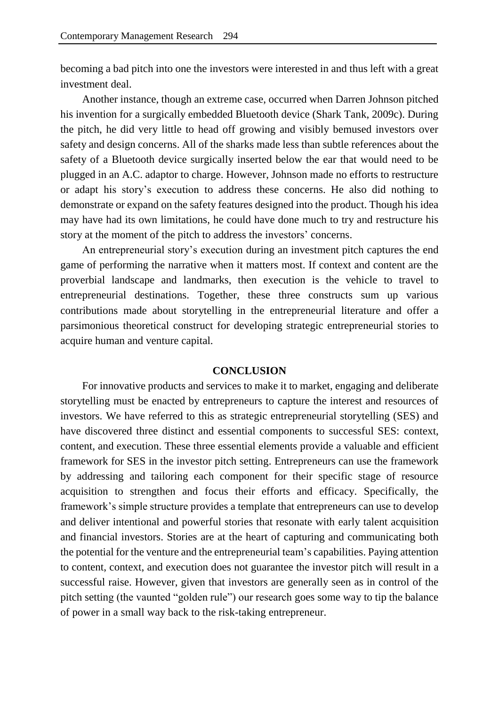becoming a bad pitch into one the investors were interested in and thus left with a great investment deal.

Another instance, though an extreme case, occurred when Darren Johnson pitched his invention for a surgically embedded Bluetooth device (Shark Tank, 2009c). During the pitch, he did very little to head off growing and visibly bemused investors over safety and design concerns. All of the sharks made less than subtle references about the safety of a Bluetooth device surgically inserted below the ear that would need to be plugged in an A.C. adaptor to charge. However, Johnson made no efforts to restructure or adapt his story's execution to address these concerns. He also did nothing to demonstrate or expand on the safety features designed into the product. Though his idea may have had its own limitations, he could have done much to try and restructure his story at the moment of the pitch to address the investors' concerns.

An entrepreneurial story's execution during an investment pitch captures the end game of performing the narrative when it matters most. If context and content are the proverbial landscape and landmarks, then execution is the vehicle to travel to entrepreneurial destinations. Together, these three constructs sum up various contributions made about storytelling in the entrepreneurial literature and offer a parsimonious theoretical construct for developing strategic entrepreneurial stories to acquire human and venture capital.

#### **CONCLUSION**

For innovative products and services to make it to market, engaging and deliberate storytelling must be enacted by entrepreneurs to capture the interest and resources of investors. We have referred to this as strategic entrepreneurial storytelling (SES) and have discovered three distinct and essential components to successful SES: context, content, and execution. These three essential elements provide a valuable and efficient framework for SES in the investor pitch setting. Entrepreneurs can use the framework by addressing and tailoring each component for their specific stage of resource acquisition to strengthen and focus their efforts and efficacy. Specifically, the framework's simple structure provides a template that entrepreneurs can use to develop and deliver intentional and powerful stories that resonate with early talent acquisition and financial investors. Stories are at the heart of capturing and communicating both the potential for the venture and the entrepreneurial team's capabilities. Paying attention to content, context, and execution does not guarantee the investor pitch will result in a successful raise. However, given that investors are generally seen as in control of the pitch setting (the vaunted "golden rule") our research goes some way to tip the balance of power in a small way back to the risk-taking entrepreneur.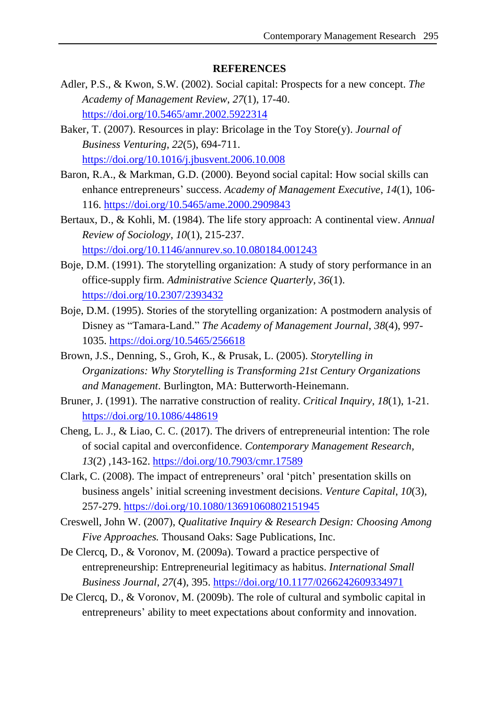## **REFERENCES**

- Adler, P.S., & Kwon, S.W. (2002). Social capital: Prospects for a new concept. *The Academy of Management Review*, *27*(1), 17-40. <https://doi.org/10.5465/amr.2002.5922314>
- Baker, T. (2007). Resources in play: Bricolage in the Toy Store(y). *Journal of Business Venturing*, *22*(5), 694-711. <https://doi.org/10.1016/j.jbusvent.2006.10.008>
- Baron, R.A., & Markman, G.D. (2000). Beyond social capital: How social skills can enhance entrepreneurs' success. *Academy of Management Executive*, *14*(1), 106- 116. <https://doi.org/10.5465/ame.2000.2909843>
- Bertaux, D., & Kohli, M. (1984). The life story approach: A continental view. *Annual Review of Sociology*, *10*(1), 215-237. <https://doi.org/10.1146/annurev.so.10.080184.001243>
- Boje, D.M. (1991). The storytelling organization: A study of story performance in an office-supply firm. *Administrative Science Quarterly*, *36*(1). <https://doi.org/10.2307/2393432>
- Boje, D.M. (1995). Stories of the storytelling organization: A postmodern analysis of Disney as "Tamara-Land." *The Academy of Management Journal*, *38*(4), 997- 1035. <https://doi.org/10.5465/256618>
- Brown, J.S., Denning, S., Groh, K., & Prusak, L. (2005). *Storytelling in Organizations: Why Storytelling is Transforming 21st Century Organizations and Management*. Burlington, MA: Butterworth-Heinemann.
- Bruner, J. (1991). The narrative construction of reality. *Critical Inquiry*, *18*(1), 1-21. <https://doi.org/10.1086/448619>
- Cheng, L. J., & Liao, C. C. (2017). The drivers of entrepreneurial intention: The role of social capital and overconfidence. *Contemporary Management Research, 13*(2) ,143-162. <https://doi.org/10.7903/cmr.17589>
- Clark, C. (2008). The impact of entrepreneurs' oral 'pitch' presentation skills on business angels' initial screening investment decisions. *Venture Capital*, *10*(3), 257-279. <https://doi.org/10.1080/13691060802151945>
- Creswell, John W. (2007), *Qualitative Inquiry & Research Design: Choosing Among Five Approaches.* Thousand Oaks: Sage Publications, Inc.
- De Clercq, D., & Voronov, M. (2009a). Toward a practice perspective of entrepreneurship: Entrepreneurial legitimacy as habitus. *International Small Business Journal*, *27*(4), 395. <https://doi.org/10.1177/0266242609334971>
- De Clercq, D., & Voronov, M. (2009b). The role of cultural and symbolic capital in entrepreneurs' ability to meet expectations about conformity and innovation.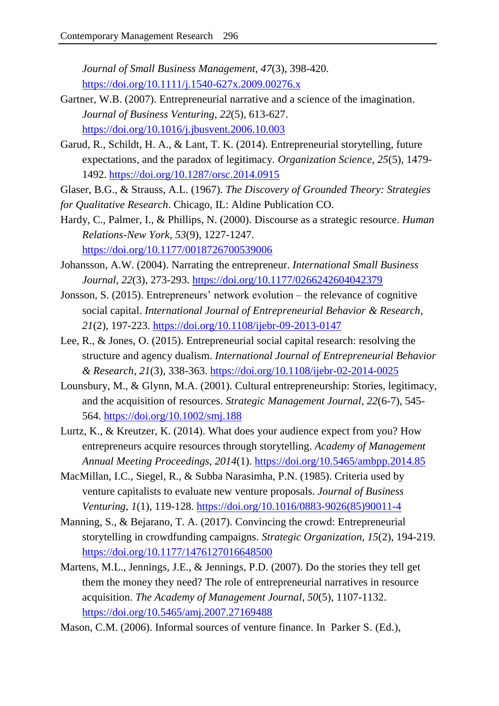*Journal of Small Business Management*, *47*(3), 398-420. <https://doi.org/10.1111/j.1540-627x.2009.00276.x>

- Gartner, W.B. (2007). Entrepreneurial narrative and a science of the imagination. *Journal of Business Venturing*, *22*(5), 613-627. <https://doi.org/10.1016/j.jbusvent.2006.10.003>
- Garud, R., Schildt, H. A., & Lant, T. K. (2014). Entrepreneurial storytelling, future expectations, and the paradox of legitimacy. *Organization Science, 25*(5), 1479- 1492. <https://doi.org/10.1287/orsc.2014.0915>
- Glaser, B.G., & Strauss, A.L. (1967). *The Discovery of Grounded Theory: Strategies*
- *for Qualitative Research*. Chicago, IL: Aldine Publication CO.
- Hardy, C., Palmer, I., & Phillips, N. (2000). Discourse as a strategic resource. *Human Relations-New York*, *53*(9), 1227-1247. <https://doi.org/10.1177/0018726700539006>
- Johansson, A.W. (2004). Narrating the entrepreneur. *International Small Business Journal*, *22*(3), 273-293. <https://doi.org/10.1177/0266242604042379>
- Jonsson, S. (2015). Entrepreneurs' network evolution the relevance of cognitive social capital. *International Journal of Entrepreneurial Behavior & Research*, *21*(2), 197-223.<https://doi.org/10.1108/ijebr-09-2013-0147>
- Lee, R., & Jones, O. (2015). Entrepreneurial social capital research: resolving the structure and agency dualism. *International Journal of Entrepreneurial Behavior & Research*, *21*(3), 338-363.<https://doi.org/10.1108/ijebr-02-2014-0025>
- Lounsbury, M., & Glynn, M.A. (2001). Cultural entrepreneurship: Stories, legitimacy, and the acquisition of resources. *Strategic Management Journal*, *22*(6-7), 545- 564. <https://doi.org/10.1002/smj.188>
- Lurtz, K., & Kreutzer, K. (2014). What does your audience expect from you? How entrepreneurs acquire resources through storytelling. *Academy of Management Annual Meeting Proceedings*, *2014*(1).<https://doi.org/10.5465/ambpp.2014.85>
- MacMillan, I.C., Siegel, R., & Subba Narasimha, P.N. (1985). Criteria used by venture capitalists to evaluate new venture proposals. *Journal of Business Venturing*, *1*(1)*,* 119-128. [https://doi.org/10.1016/0883-9026\(85\)90011-4](https://doi.org/10.1016/0883-9026(85)90011-4)
- Manning, S., & Bejarano, T. A. (2017). Convincing the crowd: Entrepreneurial storytelling in crowdfunding campaigns. *Strategic Organization, 15*(2), 194-219. <https://doi.org/10.1177/1476127016648500>
- Martens, M.L., Jennings, J.E., & Jennings, P.D. (2007). Do the stories they tell get them the money they need? The role of entrepreneurial narratives in resource acquisition. *The Academy of Management Journal*, *50*(5), 1107-1132. <https://doi.org/10.5465/amj.2007.27169488>
- Mason, C.M. (2006). Informal sources of venture finance. In Parker S. (Ed.),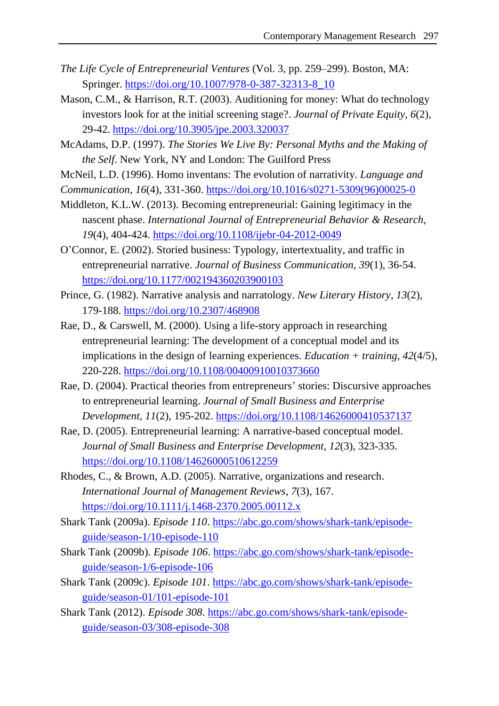- *The Life Cycle of Entrepreneurial Ventures* (Vol. 3, pp. 259–299). Boston, MA: Springer. [https://doi.org/10.1007/978-0-387-32313-8\\_10](https://doi.org/10.1007/978-0-387-32313-8_10)
- Mason, C.M., & Harrison, R.T. (2003). Auditioning for money: What do technology investors look for at the initial screening stage?. *Journal of Private Equity*, *6*(2)*,* 29-42. <https://doi.org/10.3905/jpe.2003.320037>
- McAdams, D.P. (1997). *The Stories We Live By: Personal Myths and the Making of the Self*. New York, NY and London: The Guilford Press
- McNeil, L.D. (1996). Homo inventans: The evolution of narrativity. *Language and*
- *Communication*, *16*(4), 331-360. [https://doi.org/10.1016/s0271-5309\(96\)00025-0](https://doi.org/10.1016/s0271-5309(96)00025-0)
- Middleton, K.L.W. (2013). Becoming entrepreneurial: Gaining legitimacy in the nascent phase. *International Journal of Entrepreneurial Behavior & Research*, *19*(4), 404-424.<https://doi.org/10.1108/ijebr-04-2012-0049>
- O'Connor, E. (2002). Storied business: Typology, intertextuality, and traffic in entrepreneurial narrative. *Journal of Business Communication, 39*(1)*,* 36-54. <https://doi.org/10.1177/002194360203900103>
- Prince, G. (1982). Narrative analysis and narratology. *New Literary History*, *13*(2), 179-188. <https://doi.org/10.2307/468908>
- Rae, D., & Carswell, M. (2000). Using a life-story approach in researching entrepreneurial learning: The development of a conceptual model and its implications in the design of learning experiences. *Education + training*, *42*(4/5), 220-228. <https://doi.org/10.1108/00400910010373660>
- Rae, D. (2004). Practical theories from entrepreneurs' stories: Discursive approaches to entrepreneurial learning. *Journal of Small Business and Enterprise Development*, *11*(2), 195-202. <https://doi.org/10.1108/14626000410537137>
- Rae, D. (2005). Entrepreneurial learning: A narrative-based conceptual model. *Journal of Small Business and Enterprise Development*, *12*(3), 323-335. <https://doi.org/10.1108/14626000510612259>
- Rhodes, C., & Brown, A.D. (2005). Narrative, organizations and research. *International Journal of Management Reviews*, *7*(3), 167. <https://doi.org/10.1111/j.1468-2370.2005.00112.x>
- Shark Tank (2009a). *Episode 110*. [https://abc.go.com/shows/shark-tank/episode](https://abc.go.com/shows/shark-tank/episode-guide/season-1/10-episode-110)[guide/season-1/10-episode-110](https://abc.go.com/shows/shark-tank/episode-guide/season-1/10-episode-110)
- Shark Tank (2009b). *Episode 106*. [https://abc.go.com/shows/shark-tank/episode](https://abc.go.com/shows/shark-tank/episode-guide/season-1/6-episode-106)[guide/season-1/6-episode-106](https://abc.go.com/shows/shark-tank/episode-guide/season-1/6-episode-106)
- Shark Tank (2009c). *Episode 101*. [https://abc.go.com/shows/shark-tank/episode](https://abc.go.com/shows/shark-tank/episode-guide/season-01/101-episode-101)[guide/season-01/101-episode-101](https://abc.go.com/shows/shark-tank/episode-guide/season-01/101-episode-101)
- Shark Tank (2012). *Episode 308*. [https://abc.go.com/shows/shark-tank/episode](https://abc.go.com/shows/shark-tank/episode-guide/season-03/308-episode-308)[guide/season-03/308-episode-308](https://abc.go.com/shows/shark-tank/episode-guide/season-03/308-episode-308)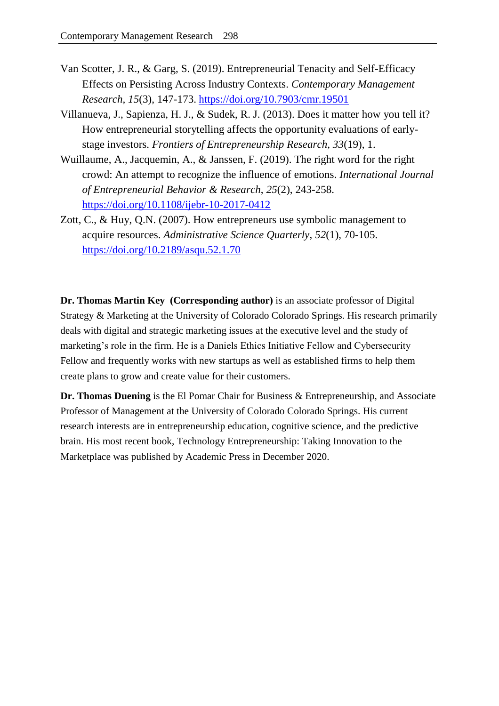- Van Scotter, J. R., & Garg, S. (2019). Entrepreneurial Tenacity and Self-Efficacy Effects on Persisting Across Industry Contexts. *Contemporary Management Research, 15*(3), 147-173. <https://doi.org/10.7903/cmr.19501>
- Villanueva, J., Sapienza, H. J., & Sudek, R. J. (2013). Does it matter how you tell it? How entrepreneurial storytelling affects the opportunity evaluations of earlystage investors. *Frontiers of Entrepreneurship Research, 33*(19), 1.
- Wuillaume, A., Jacquemin, A., & Janssen, F. (2019). The right word for the right crowd: An attempt to recognize the influence of emotions. *International Journal of Entrepreneurial Behavior & Research*, *25*(2), 243-258. <https://doi.org/10.1108/ijebr-10-2017-0412>
- Zott, C., & Huy, Q.N. (2007). How entrepreneurs use symbolic management to acquire resources. *Administrative Science Quarterly*, *52*(1), 70-105. <https://doi.org/10.2189/asqu.52.1.70>

**Dr. Thomas Martin Key (Corresponding author)** is an associate professor of Digital Strategy & Marketing at the University of Colorado Colorado Springs. His research primarily deals with digital and strategic marketing issues at the executive level and the study of marketing's role in the firm. He is a Daniels Ethics Initiative Fellow and Cybersecurity Fellow and frequently works with new startups as well as established firms to help them create plans to grow and create value for their customers.

**Dr. Thomas Duening** is the El Pomar Chair for Business & Entrepreneurship, and Associate Professor of Management at the University of Colorado Colorado Springs. His current research interests are in entrepreneurship education, cognitive science, and the predictive brain. His most recent book, Technology Entrepreneurship: Taking Innovation to the Marketplace was published by Academic Press in December 2020.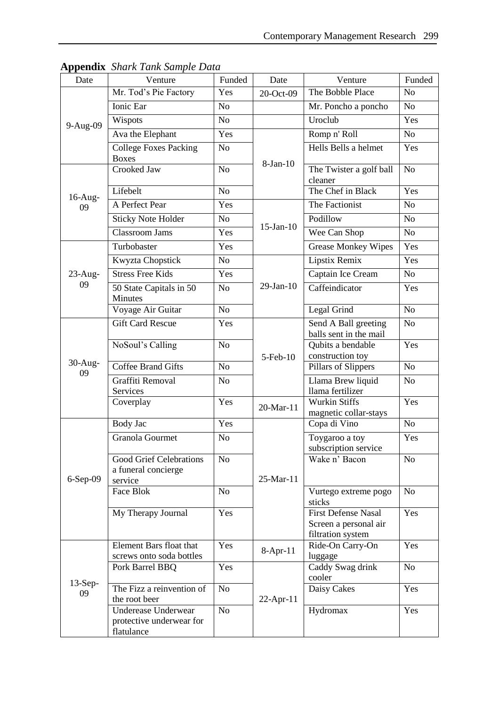| Date             | Venture                                                          | Funded         | Date            | Venture                                                                  | Funded         |
|------------------|------------------------------------------------------------------|----------------|-----------------|--------------------------------------------------------------------------|----------------|
| 9-Aug-09         | Mr. Tod's Pie Factory                                            | Yes            | 20-Oct-09       | The Bobble Place                                                         | N <sub>o</sub> |
|                  | Ionic Ear                                                        | No             |                 | Mr. Poncho a poncho                                                      | No             |
|                  | Wispots                                                          | No             |                 | Uroclub                                                                  | Yes            |
|                  | Ava the Elephant                                                 | Yes            |                 | Romp n' Roll                                                             | N <sub>o</sub> |
|                  | <b>College Foxes Packing</b><br><b>Boxes</b>                     | No             | $8-Jan-10$      | Hells Bells a helmet                                                     | Yes            |
| $16$ -Aug-<br>09 | Crooked Jaw                                                      | No             |                 | The Twister a golf ball<br>cleaner                                       | N <sub>o</sub> |
|                  | Lifebelt                                                         | No             |                 | The Chef in Black                                                        | Yes            |
|                  | A Perfect Pear                                                   | Yes            | $15$ -Jan- $10$ | The Factionist                                                           | N <sub>o</sub> |
|                  | <b>Sticky Note Holder</b>                                        | N <sub>o</sub> |                 | Podillow                                                                 | N <sub>o</sub> |
|                  | <b>Classroom Jams</b>                                            | Yes            |                 | Wee Can Shop                                                             | No             |
|                  | Turbobaster                                                      | Yes            |                 | <b>Grease Monkey Wipes</b>                                               | Yes            |
|                  | Kwyzta Chopstick                                                 | No             |                 | Lipstix Remix                                                            | Yes            |
| $23$ -Aug-       | <b>Stress Free Kids</b>                                          | Yes            |                 | Captain Ice Cream                                                        | N <sub>o</sub> |
| 09               | 50 State Capitals in 50<br>Minutes                               | N <sub>o</sub> | $29$ -Jan- $10$ | Caffeindicator                                                           | Yes            |
|                  | Voyage Air Guitar                                                | No             |                 | Legal Grind                                                              | N <sub>o</sub> |
|                  | <b>Gift Card Rescue</b>                                          | Yes            |                 | Send A Ball greeting<br>balls sent in the mail                           | N <sub>o</sub> |
| $30-Aug-$<br>09  | NoSoul's Calling                                                 | N <sub>o</sub> | 5-Feb-10        | Qubits a bendable<br>construction toy                                    | Yes            |
|                  | <b>Coffee Brand Gifts</b>                                        | N <sub>o</sub> |                 | Pillars of Slippers                                                      | N <sub>o</sub> |
|                  | Graffiti Removal<br>Services                                     | No             |                 | Llama Brew liquid<br>llama fertilizer                                    | N <sub>o</sub> |
|                  | Coverplay                                                        | Yes            | 20-Mar-11       | <b>Wurkin Stiffs</b><br>magnetic collar-stays                            | Yes            |
|                  | Body Jac                                                         | Yes            |                 | Copa di Vino                                                             | No             |
| $6-Sep-09$       | <b>Granola Gourmet</b>                                           | No             | 25-Mar-11       | Toygaroo a toy<br>subscription service                                   | Yes            |
|                  | <b>Good Grief Celebrations</b><br>a funeral concierge<br>service | N <sub>o</sub> |                 | Wake n' Bacon                                                            | N <sub>o</sub> |
|                  | Face Blok                                                        | N <sub>o</sub> |                 | Vurtego extreme pogo<br>sticks                                           | N <sub>o</sub> |
|                  | My Therapy Journal                                               | Yes            |                 | <b>First Defense Nasal</b><br>Screen a personal air<br>filtration system | Yes            |
| $13-Sep-$<br>09  | Element Bars float that<br>screws onto soda bottles              | Yes            | $8-Apr-11$      | Ride-On Carry-On<br>luggage                                              | Yes            |
|                  | Pork Barrel BBQ                                                  | Yes            | $22$ -Apr-11    | Caddy Swag drink<br>cooler                                               | N <sub>o</sub> |
|                  | The Fizz a reinvention of<br>the root beer                       | No             |                 | Daisy Cakes                                                              | Yes            |
|                  | Underease Underwear<br>protective underwear for<br>flatulance    | N <sub>o</sub> |                 | Hydromax                                                                 | Yes            |

**Appendix** *Shark Tank Sample Data*